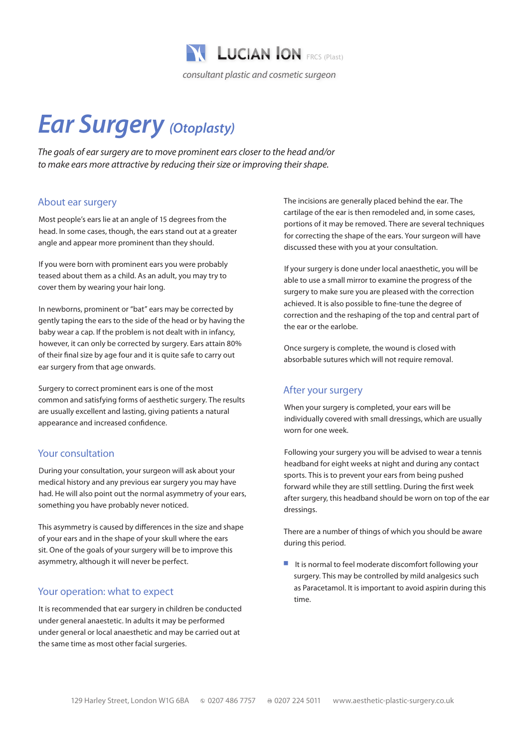

# *Ear Surgery (Otoplasty)*

*The goals of ear surgery are to move prominent ears closer to the head and/or to make ears more attractive by reducing their size or improving their shape.*

# About ear surgery

Most people's ears lie at an angle of 15 degrees from the head. In some cases, though, the ears stand out at a greater angle and appear more prominent than they should.

If you were born with prominent ears you were probably teased about them as a child. As an adult, you may try to cover them by wearing your hair long.

In newborns, prominent or "bat" ears may be corrected by gently taping the ears to the side of the head or by having the baby wear a cap. If the problem is not dealt with in infancy, however, it can only be corrected by surgery. Ears attain 80% of their final size by age four and it is quite safe to carry out ear surgery from that age onwards.

Surgery to correct prominent ears is one of the most common and satisfying forms of aesthetic surgery. The results are usually excellent and lasting, giving patients a natural appearance and increased confidence.

# Your consultation

During your consultation, your surgeon will ask about your medical history and any previous ear surgery you may have had. He will also point out the normal asymmetry of your ears, something you have probably never noticed.

This asymmetry is caused by differences in the size and shape of your ears and in the shape of your skull where the ears sit. One of the goals of your surgery will be to improve this asymmetry, although it will never be perfect.

### Your operation: what to expect

It is recommended that ear surgery in children be conducted under general anaestetic. In adults it may be performed under general or local anaesthetic and may be carried out at the same time as most other facial surgeries.

The incisions are generally placed behind the ear. The cartilage of the ear is then remodeled and, in some cases, portions of it may be removed. There are several techniques for correcting the shape of the ears. Your surgeon will have discussed these with you at your consultation.

If your surgery is done under local anaesthetic, you will be able to use a small mirror to examine the progress of the surgery to make sure you are pleased with the correction achieved. It is also possible to fine-tune the degree of correction and the reshaping of the top and central part of the ear or the earlobe.

Once surgery is complete, the wound is closed with absorbable sutures which will not require removal.

### After your surgery

When your surgery is completed, your ears will be individually covered with small dressings, which are usually worn for one week.

Following your surgery you will be advised to wear a tennis headband for eight weeks at night and during any contact sports. This is to prevent your ears from being pushed forward while they are still settling. During the first week after surgery, this headband should be worn on top of the ear dressings.

There are a number of things of which you should be aware during this period.

 $\blacksquare$  It is normal to feel moderate discomfort following your surgery. This may be controlled by mild analgesics such as Paracetamol. It is important to avoid aspirin during this time.